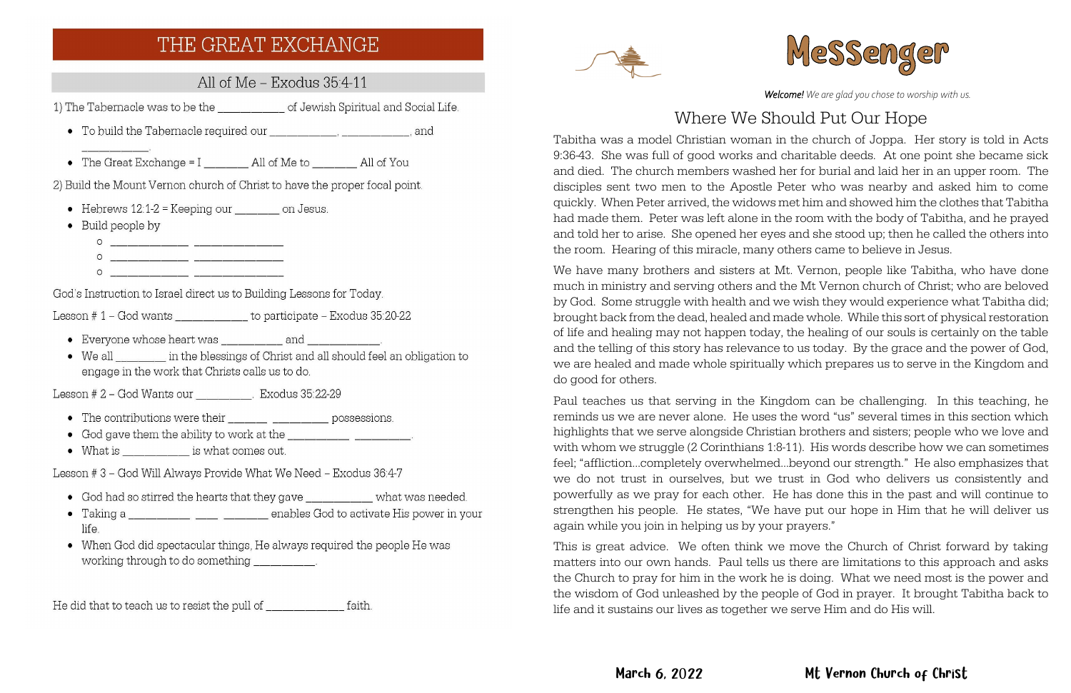# THE GREAT EXCHANGE

All of Me - Exodus 35:4-11

1) The Tabernacle was to be the \_\_\_\_\_\_\_\_\_\_\_\_\_\_\_ of Jewish Spiritual and Social Life.

- 
- The Great Exchange =  $I_$  All of Me to All of You

2) Build the Mount Vernon church of Christ to have the proper focal point.

- Hebrews  $12:1-2 =$  Keeping our  $\_\_\_\_\_$  on Jesus.
- $\bullet$  Build people by



God's Instruction to Israel direct us to Building Lessons for Today.

Lesson  $# 1 - God$  wants  $\qquad \qquad$  to participate  $-$  Exodus 35:20-22

- Everyone whose heart was and and
- We all in the blessings of Christ and all should feel an obligation to engage in the work that Christs calls us to do.

Lesson # 2 - God Wants our Exodus 35:22-29

- The contributions were their \_\_\_\_\_\_\_ \_\_\_\_\_\_\_ possessions.
- 
- What is  $\qquad \qquad$  is what comes out.

Lesson #3 - God Will Always Provide What We Need - Exodus 36:4-7

- God had so stirred the hearts that they gave \_\_\_\_\_\_\_\_\_\_\_\_\_ what was needed.
- Taking a \_\_\_\_\_\_\_\_\_\_ \_\_\_ \_\_\_ \_\_\_\_ enables God to activate His power in your life.
- When God did spectacular things, He always required the people He was working through to do something

He did that to teach us to resist the pull of \_\_\_\_\_\_\_\_\_\_\_\_\_ faith.





# March 6, 2022 Mt Vernon Church of Christ

*Welcome! We are glad you chose to worship with us.*

# Where We Should Put Our Hope

Tabitha was a model Christian woman in the church of Joppa. Her story is told in Acts 9:36-43. She was full of good works and charitable deeds. At one point she became sick and died. The church members washed her for burial and laid her in an upper room. The disciples sent two men to the Apostle Peter who was nearby and asked him to come quickly. When Peter arrived, the widows met him and showed him the clothes that Tabitha had made them. Peter was left alone in the room with the body of Tabitha, and he prayed and told her to arise. She opened her eyes and she stood up; then he called the others into the room. Hearing of this miracle, many others came to believe in Jesus.

We have many brothers and sisters at Mt. Vernon, people like Tabitha, who have done much in ministry and serving others and the Mt Vernon church of Christ; who are beloved by God. Some struggle with health and we wish they would experience what Tabitha did; brought back from the dead, healed and made whole. While this sort of physical restoration of life and healing may not happen today, the healing of our souls is certainly on the table and the telling of this story has relevance to us today. By the grace and the power of God, we are healed and made whole spiritually which prepares us to serve in the Kingdom and do good for others.

Paul teaches us that serving in the Kingdom can be challenging. In this teaching, he reminds us we are never alone. He uses the word "us" several times in this section which highlights that we serve alongside Christian brothers and sisters; people who we love and with whom we struggle (2 Corinthians 1:8-11). His words describe how we can sometimes feel; "affliction…completely overwhelmed…beyond our strength." He also emphasizes that we do not trust in ourselves, but we trust in God who delivers us consistently and powerfully as we pray for each other. He has done this in the past and will continue to strengthen his people. He states, "We have put our hope in Him that he will deliver us again while you join in helping us by your prayers."

This is great advice. We often think we move the Church of Christ forward by taking matters into our own hands. Paul tells us there are limitations to this approach and asks the Church to pray for him in the work he is doing. What we need most is the power and the wisdom of God unleashed by the people of God in prayer. It brought Tabitha back to life and it sustains our lives as together we serve Him and do His will.